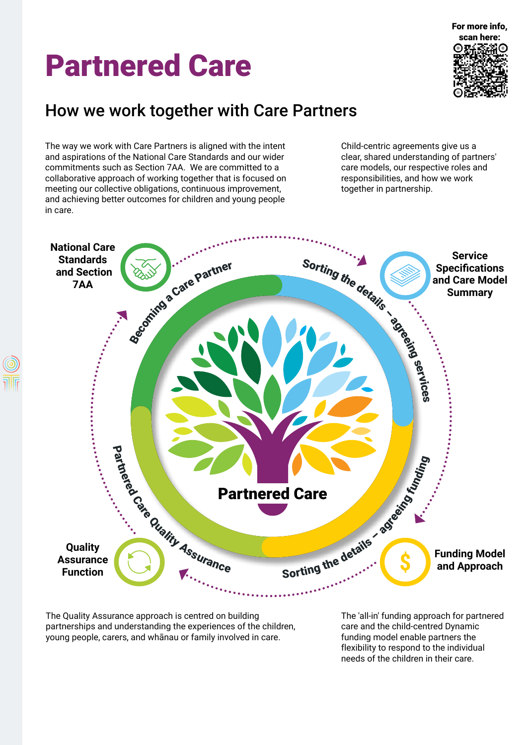# Partnered Care



## How we work together with Care Partners

The way we work with Care Partners is aligned with the intent and aspirations of the National Care Standards and our wider commitments such as Section 7AA. We are committed to a collaborative approach of working together that is focused on meeting our collective obligations, continuous improvement, and achieving better outcomes for children and young people in care.

Child-centric agreements give us a clear, shared understanding of partners' care models, our respective roles and responsibilities, and how we work together in partnership.



The Quality Assurance approach is centred on building partnerships and understanding the experiences of the children, young people, carers, and whānau or family involved in care.

The 'all-in' funding approach for partnered care and the child-centred Dynamic funding model enable partners the flexibility to respond to the individual needs of the children in their care.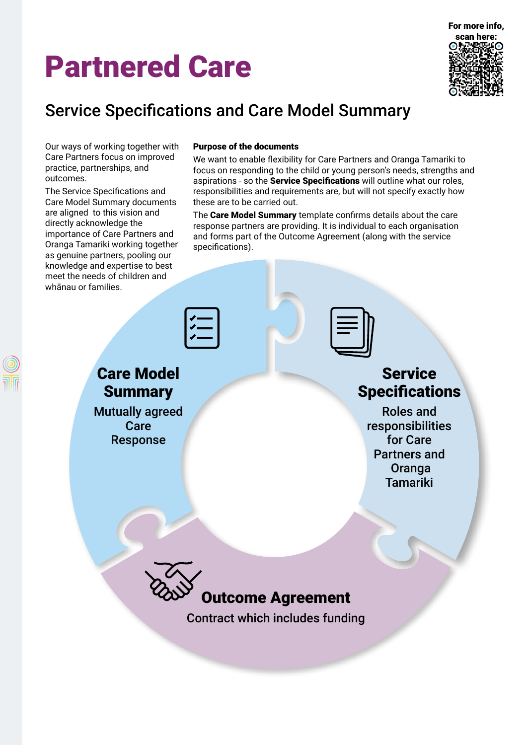# Partnered Care



## Service Specifications and Care Model Summary

Our ways of working together with Care Partners focus on improved practice, partnerships, and outcomes.

The Service Specifications and Care Model Summary documents are aligned to this vision and directly acknowledge the importance of Care Partners and Oranga Tamariki working together as genuine partners, pooling our knowledge and expertise to best meet the needs of children and whānau or families.

#### Purpose of the documents

We want to enable flexibility for Care Partners and Oranga Tamariki to focus on responding to the child or young person's needs, strengths and aspirations - so the **Service Specifications** will outline what our roles, responsibilities and requirements are, but will not specify exactly how these are to be carried out.

The Care Model Summary template confirms details about the care response partners are providing. It is individual to each organisation and forms part of the Outcome Agreement (along with the service specifications).

|          | <u> / —</u> |
|----------|-------------|
|          |             |
| re Model |             |

## **Ca Summary**

Mutually agreed Care Response

### **Service Specifications**

Roles and responsibilities for Care Partners and **Oranga** Tamariki



Contract which includes funding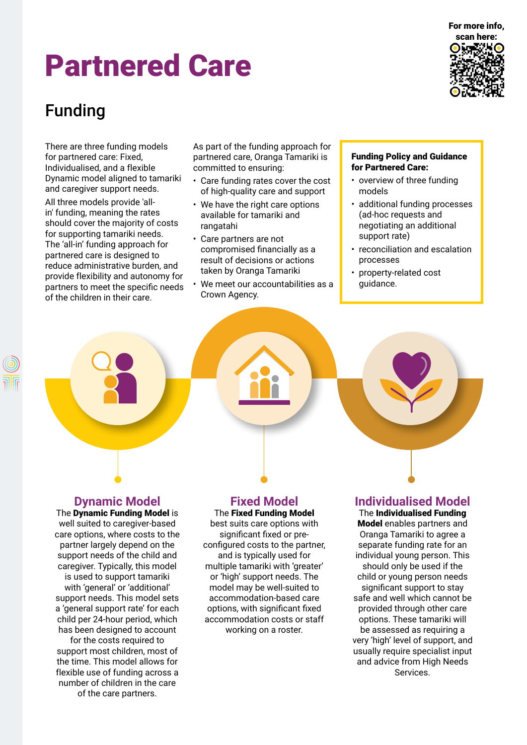## Partnered Care



## Funding

There are three funding models for partnered care: Fixed, Individualised, and a flexible Dynamic model aligned to tamariki and caregiver support needs. All three models provide 'allin' funding, meaning the rates should cover the majority of costs for supporting tamariki needs. The 'all-in' funding approach for partnered care is designed to reduce administrative burden, and provide flexibility and autonomy for partners to meet the specific needs of the children in their care.

As part of the funding approach for partnered care, Oranga Tamariki is committed to ensuring:

- Care funding rates cover the cost of high-quality care and support
- We have the right care options available for tamariki and rangatahi
- Care partners are not compromised financially as a result of decisions or actions taken by Oranga Tamariki
- We meet our accountabilities as a Crown Agency.

#### Funding Policy and Guidance for Partnered Care:

- overview of three funding models
- additional funding processes (ad-hoc requests and negotiating an additional support rate)
- reconciliation and escalation processes
- property-related cost guidance.

### **Dynamic Model**

The Dynamic Funding Model is well suited to caregiver-based care options, where costs to the partner largely depend on the support needs of the child and caregiver. Typically, this model is used to support tamariki with 'general' or 'additional' support needs. This model sets a 'general support rate' for each child per 24-hour period, which has been designed to account for the costs required to support most children, most of

the time. This model allows for flexible use of funding across a number of children in the care of the care partners.

### **Fixed Model**

#### The Fixed Funding Model

best suits care options with significant fixed or preconfigured costs to the partner, and is typically used for multiple tamariki with 'greater' or 'high' support needs. The model may be well-suited to accommodation-based care options, with significant fixed accommodation costs or staff working on a roster.

### **Individualised Model**

The Individualised Funding Model enables partners and Oranga Tamariki to agree a separate funding rate for an individual young person. This should only be used if the child or young person needs significant support to stay safe and well which cannot be provided through other care options. These tamariki will be assessed as requiring a very 'high' level of support, and usually require specialist input and advice from High Needs Services.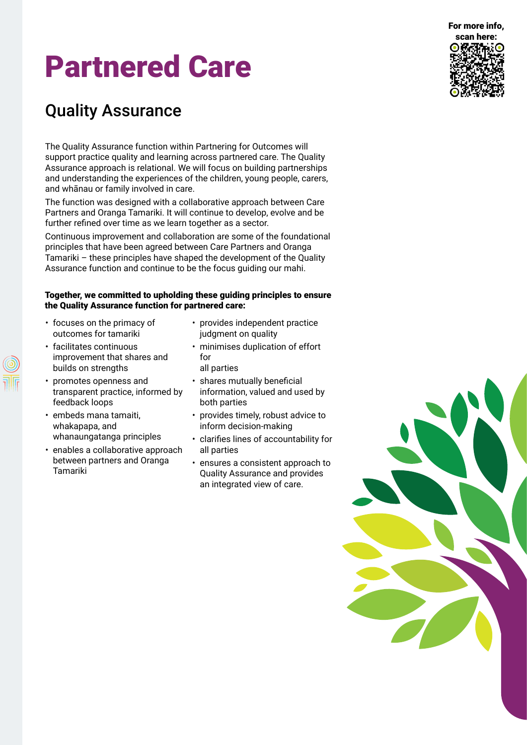#### For more info,

# Partnered Care

## Quality Assurance

The Quality Assurance function within Partnering for Outcomes will support practice quality and learning across partnered care. The Quality Assurance approach is relational. We will focus on building partnerships and understanding the experiences of the children, young people, carers, and whānau or family involved in care.

The function was designed with a collaborative approach between Care Partners and Oranga Tamariki. It will continue to develop, evolve and be further refined over time as we learn together as a sector.

Continuous improvement and collaboration are some of the foundational principles that have been agreed between Care Partners and Oranga Tamariki – these principles have shaped the development of the Quality Assurance function and continue to be the focus guiding our mahi.

#### Together, we committed to upholding these guiding principles to ensure the Quality Assurance function for partnered care:

- focuses on the primacy of outcomes for tamariki
- facilitates continuous improvement that shares and builds on strengths
- promotes openness and transparent practice, informed by feedback loops
- embeds mana tamaiti, whakapapa, and whanaungatanga principles
- enables a collaborative approach between partners and Oranga Tamariki
- provides independent practice judgment on quality
- minimises duplication of effort for all parties
- shares mutually beneficial information, valued and used by both parties
- provides timely, robust advice to inform decision-making
- clarifies lines of accountability for all parties
- ensures a consistent approach to Quality Assurance and provides an integrated view of care.